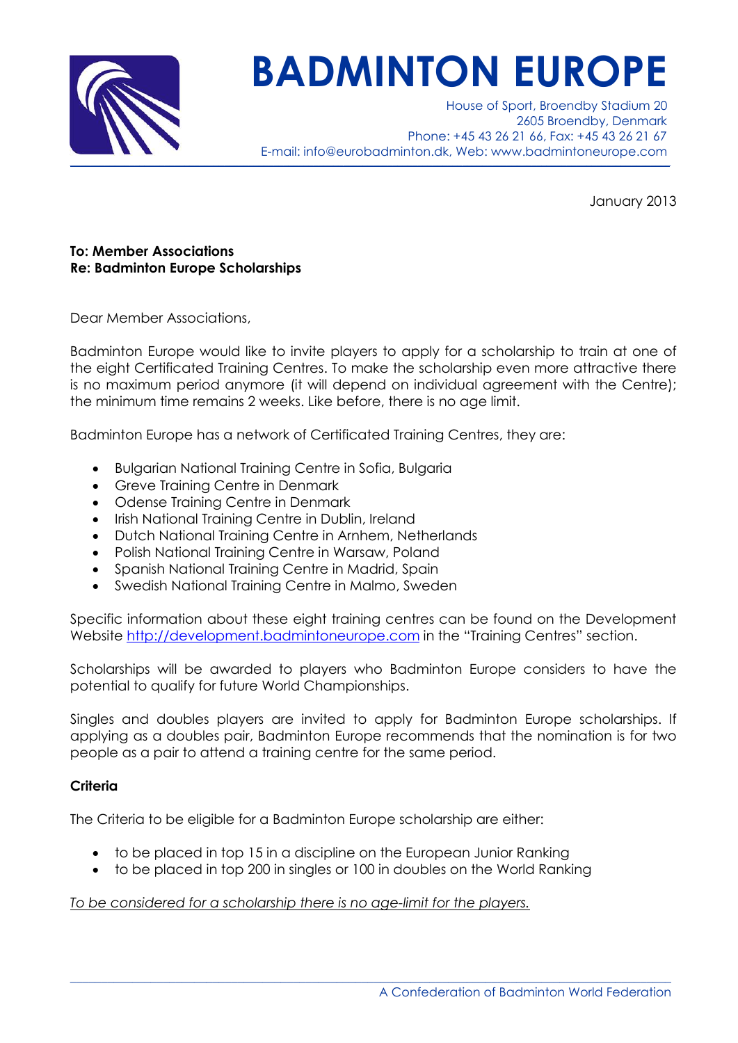

# **BADMINTON EUROPE**

House of Sport, Broendby Stadium 20 2605 Broendby, Denmark Phone: +45 43 26 21 66, Fax: +45 43 26 21 67 E-mail: info@eurobadminton.dk, Web: www.badmintoneurope.com  $\_$  , and the set of the set of the set of the set of the set of the set of the set of the set of the set of the set of the set of the set of the set of the set of the set of the set of the set of the set of the set of th

January 2013

## **To: Member Associations Re: Badminton Europe Scholarships**

Dear Member Associations,

Badminton Europe would like to invite players to apply for a scholarship to train at one of the eight Certificated Training Centres. To make the scholarship even more attractive there is no maximum period anymore (it will depend on individual agreement with the Centre); the minimum time remains 2 weeks. Like before, there is no age limit.

Badminton Europe has a network of Certificated Training Centres, they are:

- · Bulgarian National Training Centre in Sofia, Bulgaria
- · Greve Training Centre in Denmark
- · Odense Training Centre in Denmark
- Irish National Training Centre in Dublin, Ireland
- · Dutch National Training Centre in Arnhem, Netherlands
- · Polish National Training Centre in Warsaw, Poland
- Spanish National Training Centre in Madrid, Spain
- · Swedish National Training Centre in Malmo, Sweden

Specific information about these eight training centres can be found on the Development Website [http://development.badmintoneurope.com](http://development.badmintoneurope.com/) in the "Training Centres" section.

Scholarships will be awarded to players who Badminton Europe considers to have the potential to qualify for future World Championships.

Singles and doubles players are invited to apply for Badminton Europe scholarships. If applying as a doubles pair, Badminton Europe recommends that the nomination is for two people as a pair to attend a training centre for the same period.

## **Criteria**

The Criteria to be eligible for a Badminton Europe scholarship are either:

- · to be placed in top 15 in a discipline on the European Junior Ranking
- · to be placed in top 200 in singles or 100 in doubles on the World Ranking

 $\_$  ,  $\_$  ,  $\_$  ,  $\_$  ,  $\_$  ,  $\_$  ,  $\_$  ,  $\_$  ,  $\_$  ,  $\_$  ,  $\_$  ,  $\_$  ,  $\_$  ,  $\_$  ,  $\_$  ,  $\_$  ,  $\_$  ,  $\_$  ,  $\_$  ,  $\_$  ,  $\_$  ,  $\_$  ,  $\_$  ,  $\_$  ,  $\_$  ,  $\_$  ,  $\_$  ,  $\_$  ,  $\_$  ,  $\_$  ,  $\_$  ,  $\_$  ,  $\_$  ,  $\_$  ,  $\_$  ,  $\_$  ,  $\_$  ,

## *To be considered for a scholarship there is no age-limit for the players.*